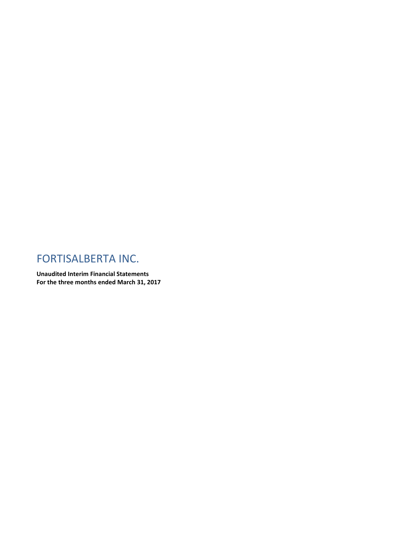## FORTISALBERTA INC.

**Unaudited Interim Financial Statements For the three months ended March 31, 2017**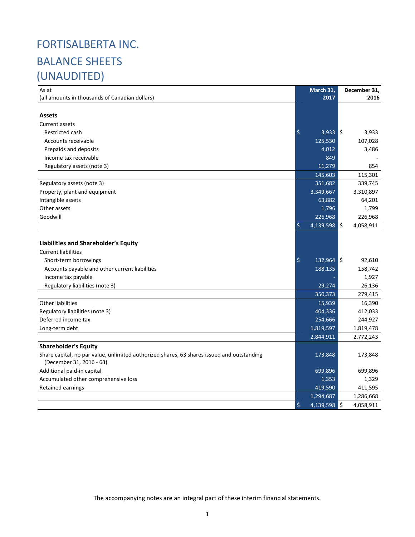# FORTISALBERTA INC. BALANCE SHEETS (UNAUDITED)

| As at                                                                                      |         | March 31,             | December 31, |
|--------------------------------------------------------------------------------------------|---------|-----------------------|--------------|
| (all amounts in thousands of Canadian dollars)                                             |         | 2017                  | 2016         |
|                                                                                            |         |                       |              |
| <b>Assets</b>                                                                              |         |                       |              |
| <b>Current assets</b>                                                                      |         |                       |              |
| Restricted cash                                                                            | $\zeta$ | $3,933$ $\frac{1}{5}$ | 3,933        |
| Accounts receivable                                                                        |         | 125,530               | 107,028      |
| Prepaids and deposits                                                                      |         | 4,012                 | 3,486        |
| Income tax receivable                                                                      |         | 849                   |              |
| Regulatory assets (note 3)                                                                 |         | 11,279                | 854          |
|                                                                                            |         | 145,603               | 115,301      |
| Regulatory assets (note 3)                                                                 |         | 351,682               | 339,745      |
| Property, plant and equipment                                                              |         | 3,349,667             | 3,310,897    |
| Intangible assets                                                                          |         | 63,882                | 64,201       |
| Other assets                                                                               |         | 1,796                 | 1,799        |
| Goodwill                                                                                   |         | 226,968               | 226,968      |
|                                                                                            | \$      | $4,139,598$ \$        | 4,058,911    |
|                                                                                            |         |                       |              |
| <b>Liabilities and Shareholder's Equity</b>                                                |         |                       |              |
| <b>Current liabilities</b>                                                                 |         |                       |              |
| Short-term borrowings                                                                      | $\zeta$ | $132,964$ \$          | 92,610       |
| Accounts payable and other current liabilities                                             |         | 188,135               | 158,742      |
| Income tax payable                                                                         |         |                       | 1,927        |
| Regulatory liabilities (note 3)                                                            |         | 29,274                | 26,136       |
|                                                                                            |         | 350,373               | 279,415      |
| Other liabilities                                                                          |         | 15,939                | 16,390       |
| Regulatory liabilities (note 3)                                                            |         | 404,336               | 412,033      |
| Deferred income tax                                                                        |         | 254,666               | 244,927      |
| Long-term debt                                                                             |         | 1,819,597             | 1,819,478    |
|                                                                                            |         | 2,844,911             | 2,772,243    |
| <b>Shareholder's Equity</b>                                                                |         |                       |              |
| Share capital, no par value, unlimited authorized shares, 63 shares issued and outstanding |         | 173,848               | 173,848      |
| (December 31, 2016 - 63)                                                                   |         |                       |              |
| Additional paid-in capital                                                                 |         | 699,896               | 699,896      |
| Accumulated other comprehensive loss                                                       |         | 1,353                 | 1,329        |
| Retained earnings                                                                          |         | 419,590               | 411,595      |
|                                                                                            |         | 1,294,687             | 1,286,668    |
|                                                                                            | $\zeta$ | $4,139,598$ \$        | 4,058,911    |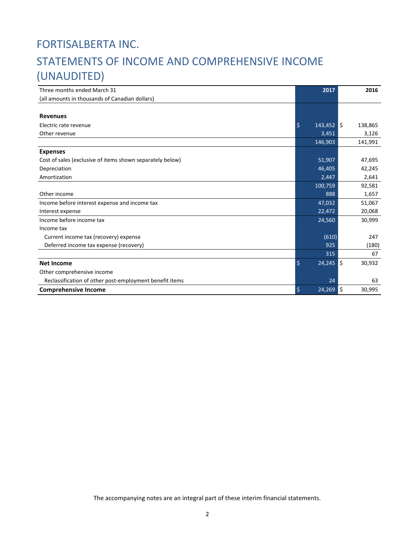# FORTISALBERTA INC. STATEMENTS OF INCOME AND COMPREHENSIVE INCOME (UNAUDITED)

| Three months ended March 31                               | 2017                    | 2016          |
|-----------------------------------------------------------|-------------------------|---------------|
| (all amounts in thousands of Canadian dollars)            |                         |               |
|                                                           |                         |               |
| <b>Revenues</b>                                           |                         |               |
| Electric rate revenue                                     | $\zeta$<br>$143,452$ \$ | 138,865       |
| Other revenue                                             | 3,451                   | 3,126         |
|                                                           | 146,903                 | 141,991       |
| <b>Expenses</b>                                           |                         |               |
| Cost of sales (exclusive of items shown separately below) | 51,907                  | 47,695        |
| Depreciation                                              | 46,405                  | 42,245        |
| Amortization                                              | 2,447                   | 2,641         |
|                                                           | 100,759                 | 92,581        |
| Other income                                              | 888                     | 1,657         |
| Income before interest expense and income tax             | 47,032                  | 51,067        |
| Interest expense                                          | 22,472                  | 20,068        |
| Income before income tax                                  | 24,560                  | 30,999        |
| Income tax                                                |                         |               |
| Current income tax (recovery) expense                     | (610)                   | 247           |
| Deferred income tax expense (recovery)                    | 925                     | (180)         |
|                                                           | 315                     | 67            |
| <b>Net Income</b>                                         | \$<br>$24,245$ \$       | 30,932        |
| Other comprehensive income                                |                         |               |
| Reclassification of other post-employment benefit items   | 24                      | 63            |
| <b>Comprehensive Income</b>                               | \$<br>24,269            | l\$<br>30,995 |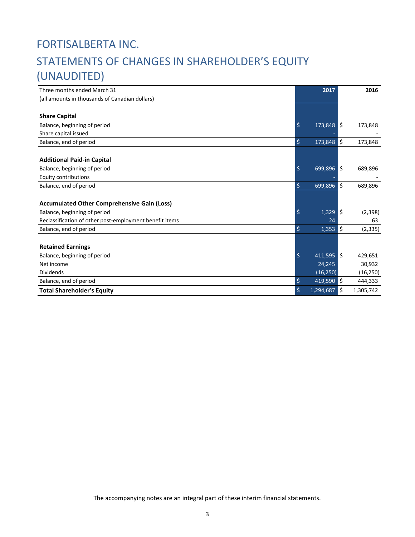# FORTISALBERTA INC. STATEMENTS OF CHANGES IN SHAREHOLDER'S EQUITY (UNAUDITED)

| Three months ended March 31                             | 2017                         |      | 2016      |
|---------------------------------------------------------|------------------------------|------|-----------|
| (all amounts in thousands of Canadian dollars)          |                              |      |           |
|                                                         |                              |      |           |
| <b>Share Capital</b>                                    |                              |      |           |
| Balance, beginning of period                            | $\varsigma$<br>173,848 \$    |      | 173,848   |
| Share capital issued                                    |                              |      |           |
| Balance, end of period                                  | $\zeta$<br>173,848           | \$   | 173,848   |
|                                                         |                              |      |           |
| <b>Additional Paid-in Capital</b>                       |                              |      |           |
| Balance, beginning of period                            | $\zeta$<br>$699,896$ \$      |      | 689,896   |
| <b>Equity contributions</b>                             |                              |      |           |
| Balance, end of period                                  | \$<br>699,896                | \$   | 689,896   |
|                                                         |                              |      |           |
| <b>Accumulated Other Comprehensive Gain (Loss)</b>      |                              |      |           |
| Balance, beginning of period                            | $\ddot{\mathsf{S}}$<br>1,329 | l \$ | (2, 398)  |
| Reclassification of other post-employment benefit items | 24                           |      | 63        |
| Balance, end of period                                  | \$<br>1,353                  | \$   | (2, 335)  |
|                                                         |                              |      |           |
| <b>Retained Earnings</b>                                |                              |      |           |
| Balance, beginning of period                            | \$<br>$411,595$ \$           |      | 429,651   |
| Net income                                              | 24,245                       |      | 30,932    |
| <b>Dividends</b>                                        | (16, 250)                    |      | (16, 250) |
| Balance, end of period                                  | \$<br>419,590                | ١\$  | 444,333   |
| <b>Total Shareholder's Equity</b>                       | \$<br>1,294,687              | \$   | 1,305,742 |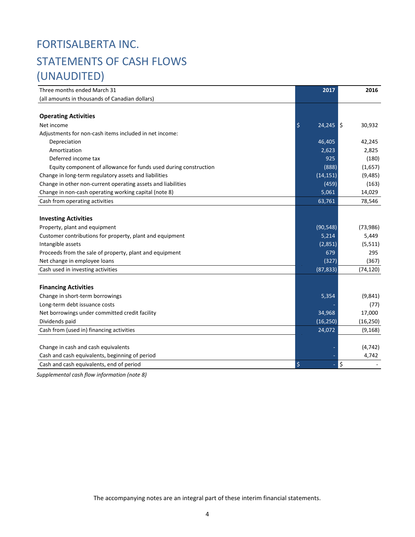# FORTISALBERTA INC. STATEMENTS OF CASH FLOWS (UNAUDITED)

| Three months ended March 31                                      | 2017              | 2016      |
|------------------------------------------------------------------|-------------------|-----------|
| (all amounts in thousands of Canadian dollars)                   |                   |           |
|                                                                  |                   |           |
| <b>Operating Activities</b>                                      |                   |           |
| Net income                                                       | \$<br>$24,245$ \$ | 30,932    |
| Adjustments for non-cash items included in net income:           |                   |           |
| Depreciation                                                     | 46,405            | 42,245    |
| Amortization                                                     | 2,623             | 2,825     |
| Deferred income tax                                              | 925               | (180)     |
| Equity component of allowance for funds used during construction | (888)             | (1,657)   |
| Change in long-term regulatory assets and liabilities            | (14, 151)         | (9,485)   |
| Change in other non-current operating assets and liabilities     | (459)             | (163)     |
| Change in non-cash operating working capital (note 8)            | 5,061             | 14,029    |
| Cash from operating activities                                   | 63,761            | 78,546    |
|                                                                  |                   |           |
| <b>Investing Activities</b>                                      |                   |           |
| Property, plant and equipment                                    | (90, 548)         | (73,986)  |
| Customer contributions for property, plant and equipment         | 5,214             | 5,449     |
| Intangible assets                                                | (2,851)           | (5, 511)  |
| Proceeds from the sale of property, plant and equipment          | 679               | 295       |
| Net change in employee loans                                     | (327)             | (367)     |
| Cash used in investing activities                                | (87, 833)         | (74, 120) |
|                                                                  |                   |           |
| <b>Financing Activities</b>                                      |                   |           |
| Change in short-term borrowings                                  | 5,354             | (9,841)   |
| Long-term debt issuance costs                                    |                   | (77)      |
| Net borrowings under committed credit facility                   | 34,968            | 17,000    |
| Dividends paid                                                   | (16, 250)         | (16, 250) |
| Cash from (used in) financing activities                         | 24,072            | (9, 168)  |
|                                                                  |                   |           |
| Change in cash and cash equivalents                              |                   | (4, 742)  |
| Cash and cash equivalents, beginning of period                   |                   | 4,742     |
| Cash and cash equivalents, end of period                         | \$                | \$        |

*Supplemental cash flow information (note 8)*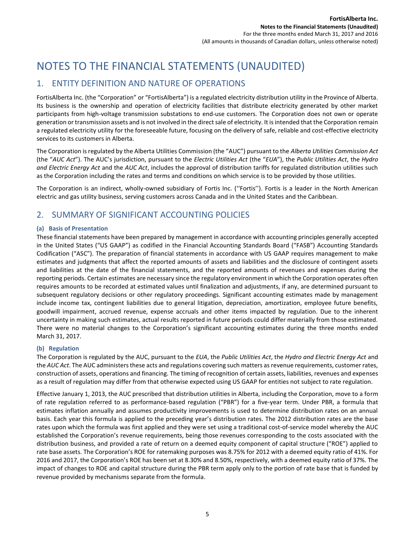## NOTES TO THE FINANCIAL STATEMENTS (UNAUDITED)

## 1. ENTITY DEFINITION AND NATURE OF OPERATIONS

FortisAlberta Inc. (the "Corporation" or "FortisAlberta") is a regulated electricity distribution utility in the Province of Alberta. Its business is the ownership and operation of electricity facilities that distribute electricity generated by other market participants from high-voltage transmission substations to end-use customers. The Corporation does not own or operate generation or transmission assets and is not involved in the direct sale of electricity. It is intended that the Corporation remain a regulated electricity utility for the foreseeable future, focusing on the delivery of safe, reliable and cost-effective electricity services to its customers in Alberta.

The Corporation is regulated by the Alberta Utilities Commission (the "AUC") pursuant to the *Alberta Utilities Commission Act* (the "*AUC Act*"). The AUC's jurisdiction, pursuant to the *Electric Utilities Act* (the "*EUA*"), the *Public Utilities Act*, the *Hydro and Electric Energy Act* and the *AUC Act*, includes the approval of distribution tariffs for regulated distribution utilities such as the Corporation including the rates and terms and conditions on which service is to be provided by those utilities.

The Corporation is an indirect, wholly-owned subsidiary of Fortis Inc. (''Fortis''). Fortis is a leader in the North American electric and gas utility business, serving customers across Canada and in the United States and the Caribbean.

## 2. SUMMARY OF SIGNIFICANT ACCOUNTING POLICIES

#### **(a) Basis of Presentation**

These financial statements have been prepared by management in accordance with accounting principles generally accepted in the United States ("US GAAP") as codified in the Financial Accounting Standards Board ("FASB") Accounting Standards Codification ("ASC"). The preparation of financial statements in accordance with US GAAP requires management to make estimates and judgments that affect the reported amounts of assets and liabilities and the disclosure of contingent assets and liabilities at the date of the financial statements, and the reported amounts of revenues and expenses during the reporting periods. Certain estimates are necessary since the regulatory environment in which the Corporation operates often requires amounts to be recorded at estimated values until finalization and adjustments, if any, are determined pursuant to subsequent regulatory decisions or other regulatory proceedings. Significant accounting estimates made by management include income tax, contingent liabilities due to general litigation, depreciation, amortization, employee future benefits, goodwill impairment, accrued revenue, expense accruals and other items impacted by regulation. Due to the inherent uncertainty in making such estimates, actual results reported in future periods could differ materially from those estimated. There were no material changes to the Corporation's significant accounting estimates during the three months ended March 31, 2017.

#### **(b) Regulation**

The Corporation is regulated by the AUC, pursuant to the *EUA*, the *Public Utilities Act*, the *Hydro and Electric Energy Act* and the *AUC Act*. The AUC administers these acts and regulations covering such matters as revenue requirements, customer rates, construction of assets, operations and financing. The timing of recognition of certain assets, liabilities, revenues and expenses as a result of regulation may differ from that otherwise expected using US GAAP for entities not subject to rate regulation.

Effective January 1, 2013, the AUC prescribed that distribution utilities in Alberta, including the Corporation, move to a form of rate regulation referred to as performance-based regulation ("PBR") for a five-year term. Under PBR, a formula that estimates inflation annually and assumes productivity improvements is used to determine distribution rates on an annual basis. Each year this formula is applied to the preceding year's distribution rates. The 2012 distribution rates are the base rates upon which the formula was first applied and they were set using a traditional cost-of-service model whereby the AUC established the Corporation's revenue requirements, being those revenues corresponding to the costs associated with the distribution business, and provided a rate of return on a deemed equity component of capital structure ("ROE") applied to rate base assets. The Corporation's ROE for ratemaking purposes was 8.75% for 2012 with a deemed equity ratio of 41%. For 2016 and 2017, the Corporation's ROE has been set at 8.30% and 8.50%, respectively, with a deemed equity ratio of 37%. The impact of changes to ROE and capital structure during the PBR term apply only to the portion of rate base that is funded by revenue provided by mechanisms separate from the formula.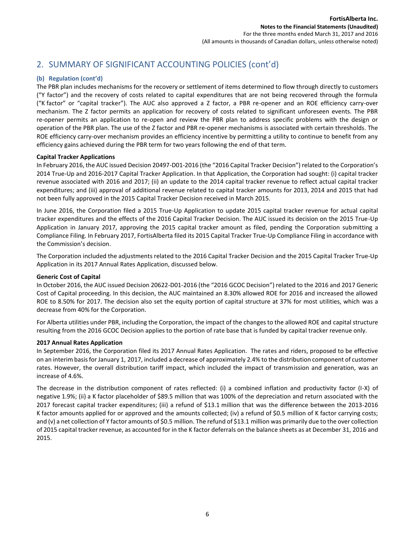## 2. SUMMARY OF SIGNIFICANT ACCOUNTING POLICIES (cont'd)

#### **(b) Regulation (cont'd)**

The PBR plan includes mechanisms for the recovery or settlement of items determined to flow through directly to customers ("Y factor") and the recovery of costs related to capital expenditures that are not being recovered through the formula ("K factor" or "capital tracker"). The AUC also approved a Z factor, a PBR re-opener and an ROE efficiency carry-over mechanism. The Z factor permits an application for recovery of costs related to significant unforeseen events. The PBR re-opener permits an application to re-open and review the PBR plan to address specific problems with the design or operation of the PBR plan. The use of the Z factor and PBR re-opener mechanisms is associated with certain thresholds. The ROE efficiency carry-over mechanism provides an efficiency incentive by permitting a utility to continue to benefit from any efficiency gains achieved during the PBR term for two years following the end of that term.

#### **Capital Tracker Applications**

In February 2016, the AUC issued Decision 20497-D01-2016 (the "2016 Capital Tracker Decision") related to the Corporation's 2014 True-Up and 2016-2017 Capital Tracker Application. In that Application, the Corporation had sought: (i) capital tracker revenue associated with 2016 and 2017; (ii) an update to the 2014 capital tracker revenue to reflect actual capital tracker expenditures; and (iii) approval of additional revenue related to capital tracker amounts for 2013, 2014 and 2015 that had not been fully approved in the 2015 Capital Tracker Decision received in March 2015.

In June 2016, the Corporation filed a 2015 True-Up Application to update 2015 capital tracker revenue for actual capital tracker expenditures and the effects of the 2016 Capital Tracker Decision. The AUC issued its decision on the 2015 True-Up Application in January 2017, approving the 2015 capital tracker amount as filed, pending the Corporation submitting a Compliance Filing. In February 2017, FortisAlberta filed its 2015 Capital Tracker True-Up Compliance Filing in accordance with the Commission's decision.

The Corporation included the adjustments related to the 2016 Capital Tracker Decision and the 2015 Capital Tracker True-Up Application in its 2017 Annual Rates Application, discussed below.

#### **Generic Cost of Capital**

In October 2016, the AUC issued Decision 20622-D01-2016 (the "2016 GCOC Decision") related to the 2016 and 2017 Generic Cost of Capital proceeding. In this decision, the AUC maintained an 8.30% allowed ROE for 2016 and increased the allowed ROE to 8.50% for 2017. The decision also set the equity portion of capital structure at 37% for most utilities, which was a decrease from 40% for the Corporation.

For Alberta utilities under PBR, including the Corporation, the impact of the changes to the allowed ROE and capital structure resulting from the 2016 GCOC Decision applies to the portion of rate base that is funded by capital tracker revenue only.

#### **2017 Annual Rates Application**

In September 2016, the Corporation filed its 2017 Annual Rates Application. The rates and riders, proposed to be effective on an interim basis for January 1, 2017, included a decrease of approximately 2.4% to the distribution component of customer rates. However, the overall distribution tariff impact, which included the impact of transmission and generation, was an increase of 4.6%.

The decrease in the distribution component of rates reflected: (i) a combined inflation and productivity factor (I-X) of negative 1.9%; (ii) a K factor placeholder of \$89.5 million that was 100% of the depreciation and return associated with the 2017 forecast capital tracker expenditures; (iii) a refund of \$13.1 million that was the difference between the 2013-2016 K factor amounts applied for or approved and the amounts collected; (iv) a refund of \$0.5 million of K factor carrying costs; and (v) a net collection of Y factor amounts of \$0.5 million. The refund of \$13.1 million was primarily due to the over collection of 2015 capital tracker revenue, as accounted for in the K factor deferrals on the balance sheets as at December 31, 2016 and 2015.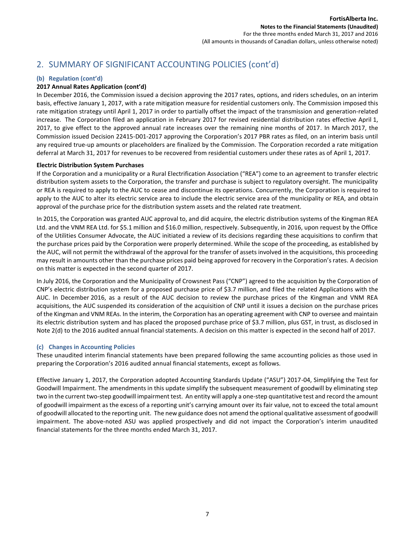## 2. SUMMARY OF SIGNIFICANT ACCOUNTING POLICIES (cont'd)

#### **(b) Regulation (cont'd)**

#### **2017 Annual Rates Application (cont'd)**

In December 2016, the Commission issued a decision approving the 2017 rates, options, and riders schedules, on an interim basis, effective January 1, 2017, with a rate mitigation measure for residential customers only. The Commission imposed this rate mitigation strategy until April 1, 2017 in order to partially offset the impact of the transmission and generation-related increase. The Corporation filed an application in February 2017 for revised residential distribution rates effective April 1, 2017, to give effect to the approved annual rate increases over the remaining nine months of 2017. In March 2017, the Commission issued Decision 22415-D01-2017 approving the Corporation's 2017 PBR rates as filed, on an interim basis until any required true-up amounts or placeholders are finalized by the Commission. The Corporation recorded a rate mitigation deferral at March 31, 2017 for revenues to be recovered from residential customers under these rates as of April 1, 2017.

#### **Electric Distribution System Purchases**

If the Corporation and a municipality or a Rural Electrification Association ("REA") come to an agreement to transfer electric distribution system assets to the Corporation, the transfer and purchase is subject to regulatory oversight. The municipality or REA is required to apply to the AUC to cease and discontinue its operations. Concurrently, the Corporation is required to apply to the AUC to alter its electric service area to include the electric service area of the municipality or REA, and obtain approval of the purchase price for the distribution system assets and the related rate treatment.

In 2015, the Corporation was granted AUC approval to, and did acquire, the electric distribution systems of the Kingman REA Ltd. and the VNM REA Ltd. for \$5.1 million and \$16.0 million, respectively. Subsequently, in 2016, upon request by the Office of the Utilities Consumer Advocate, the AUC initiated a review of its decisions regarding these acquisitions to confirm that the purchase prices paid by the Corporation were properly determined. While the scope of the proceeding, as established by the AUC, will not permit the withdrawal of the approval for the transfer of assets involved in the acquisitions, this proceeding may result in amounts other than the purchase prices paid being approved for recovery in the Corporation's rates. A decision on this matter is expected in the second quarter of 2017.

In July 2016, the Corporation and the Municipality of Crowsnest Pass ("CNP") agreed to the acquisition by the Corporation of CNP's electric distribution system for a proposed purchase price of \$3.7 million, and filed the related Applications with the AUC. In December 2016, as a result of the AUC decision to review the purchase prices of the Kingman and VNM REA acquisitions, the AUC suspended its consideration of the acquisition of CNP until it issues a decision on the purchase prices of the Kingman and VNM REAs. In the interim, the Corporation has an operating agreement with CNP to oversee and maintain its electric distribution system and has placed the proposed purchase price of \$3.7 million, plus GST, in trust, as disclosed in Note 2(d) to the 2016 audited annual financial statements. A decision on this matter is expected in the second half of 2017.

#### **(c) Changes in Accounting Policies**

These unaudited interim financial statements have been prepared following the same accounting policies as those used in preparing the Corporation's 2016 audited annual financial statements, except as follows.

Effective January 1, 2017, the Corporation adopted Accounting Standards Update ("ASU") 2017-04, Simplifying the Test for Goodwill Impairment. The amendments in this update simplify the subsequent measurement of goodwill by eliminating step two in the current two-step goodwill impairment test. An entity will apply a one-step quantitative test and record the amount of goodwill impairment as the excess of a reporting unit's carrying amount over its fair value, not to exceed the total amount of goodwill allocated to the reporting unit. The new guidance does not amend the optional qualitative assessment of goodwill impairment. The above-noted ASU was applied prospectively and did not impact the Corporation's interim unaudited financial statements for the three months ended March 31, 2017.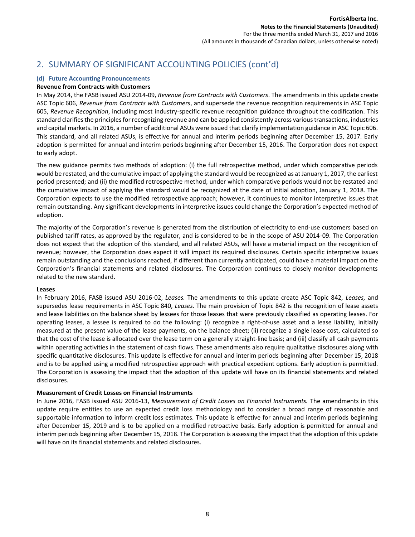## 2. SUMMARY OF SIGNIFICANT ACCOUNTING POLICIES (cont'd)

#### **(d) Future Accounting Pronouncements**

#### **Revenue from Contracts with Customers**

In May 2014, the FASB issued ASU 2014-09, *Revenue from Contracts with Customers*. The amendments in this update create ASC Topic 606, *Revenue from Contracts with Customers*, and supersede the revenue recognition requirements in ASC Topic 605, *Revenue Recognition*, including most industry-specific revenue recognition guidance throughout the codification. This standard clarifies the principles for recognizing revenue and can be applied consistently across various transactions, industries and capital markets. In 2016, a number of additional ASUs were issued that clarify implementation guidance in ASC Topic 606. This standard, and all related ASUs, is effective for annual and interim periods beginning after December 15, 2017. Early adoption is permitted for annual and interim periods beginning after December 15, 2016. The Corporation does not expect to early adopt.

The new guidance permits two methods of adoption: (i) the full retrospective method, under which comparative periods would be restated, and the cumulative impact of applying the standard would be recognized as at January 1, 2017, the earliest period presented; and (ii) the modified retrospective method, under which comparative periods would not be restated and the cumulative impact of applying the standard would be recognized at the date of initial adoption, January 1, 2018. The Corporation expects to use the modified retrospective approach; however, it continues to monitor interpretive issues that remain outstanding. Any significant developments in interpretive issues could change the Corporation's expected method of adoption.

The majority of the Corporation's revenue is generated from the distribution of electricity to end-use customers based on published tariff rates, as approved by the regulator, and is considered to be in the scope of ASU 2014-09. The Corporation does not expect that the adoption of this standard, and all related ASUs, will have a material impact on the recognition of revenue; however, the Corporation does expect it will impact its required disclosures. Certain specific interpretive issues remain outstanding and the conclusions reached, if different than currently anticipated, could have a material impact on the Corporation's financial statements and related disclosures. The Corporation continues to closely monitor developments related to the new standard.

#### **Leases**

In February 2016, FASB issued ASU 2016-02, *Leases.* The amendments to this update create ASC Topic 842, *Leases,* and supersedes lease requirements in ASC Topic 840, *Leases.* The main provision of Topic 842 is the recognition of lease assets and lease liabilities on the balance sheet by lessees for those leases that were previously classified as operating leases. For operating leases, a lessee is required to do the following: (i) recognize a right-of-use asset and a lease liability, initially measured at the present value of the lease payments, on the balance sheet; (ii) recognize a single lease cost, calculated so that the cost of the lease is allocated over the lease term on a generally straight-line basis; and (iii) classify all cash payments within operating activities in the statement of cash flows. These amendments also require qualitative disclosures along with specific quantitative disclosures. This update is effective for annual and interim periods beginning after December 15, 2018 and is to be applied using a modified retrospective approach with practical expedient options. Early adoption is permitted. The Corporation is assessing the impact that the adoption of this update will have on its financial statements and related disclosures.

#### **Measurement of Credit Losses on Financial Instruments**

In June 2016, FASB issued ASU 2016-13, *Measurement of Credit Losses on Financial Instruments.* The amendments in this update require entities to use an expected credit loss methodology and to consider a broad range of reasonable and supportable information to inform credit loss estimates. This update is effective for annual and interim periods beginning after December 15, 2019 and is to be applied on a modified retroactive basis. Early adoption is permitted for annual and interim periods beginning after December 15, 2018. The Corporation is assessing the impact that the adoption of this update will have on its financial statements and related disclosures.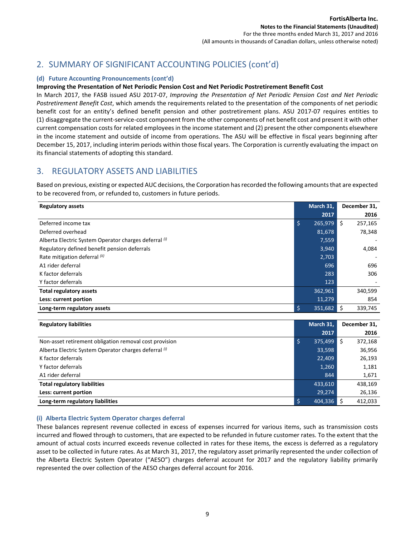(All amounts in thousands of Canadian dollars, unless otherwise noted)

## 2. SUMMARY OF SIGNIFICANT ACCOUNTING POLICIES (cont'd)

#### **(d) Future Accounting Pronouncements (cont'd)**

#### **Improving the Presentation of Net Periodic Pension Cost and Net Periodic Postretirement Benefit Cost**

In March 2017, the FASB issued ASU 2017-07, *Improving the Presentation of Net Periodic Pension Cost and Net Periodic Postretirement Benefit Cost*, which amends the requirements related to the presentation of the components of net periodic benefit cost for an entity's defined benefit pension and other postretirement plans. ASU 2017-07 requires entities to (1) disaggregate the current-service-cost component from the other components of net benefit cost and present it with other current compensation costs for related employees in the income statement and (2) present the other components elsewhere in the income statement and outside of income from operations. The ASU will be effective in fiscal years beginning after December 15, 2017, including interim periods within those fiscal years. The Corporation is currently evaluating the impact on its financial statements of adopting this standard.

## 3. REGULATORY ASSETS AND LIABILITIES

Based on previous, existing or expected AUC decisions, the Corporation has recorded the following amounts that are expected to be recovered from, or refunded to, customers in future periods.

| <b>Regulatory assets</b>                              |   | March 31,    |      | December 31, |
|-------------------------------------------------------|---|--------------|------|--------------|
|                                                       |   | 2017         |      | 2016         |
| Deferred income tax                                   | Ś | 265,979      | l \$ | 257,165      |
| Deferred overhead                                     |   | 81,678       |      | 78,348       |
| Alberta Electric System Operator charges deferral (i) |   | 7,559        |      |              |
| Regulatory defined benefit pension deferrals          |   | 3,940        |      | 4,084        |
| Rate mitigation deferral (ii)                         |   | 2,703        |      |              |
| A1 rider deferral                                     |   | 696          |      | 696          |
| K factor deferrals                                    |   | 283          |      | 306          |
| Y factor deferrals                                    |   | 123          |      |              |
| <b>Total regulatory assets</b>                        |   | 362,961      |      | 340,599      |
| Less: current portion                                 |   | 11,279       |      | 854          |
| Long-term regulatory assets                           |   | $351,682$ \$ |      | 339,745      |

| <b>Regulatory liabilities</b>                          | March 31, | December 31, |
|--------------------------------------------------------|-----------|--------------|
|                                                        | 2017      | 2016         |
| Non-asset retirement obligation removal cost provision | 375,499   | 372,168      |
| Alberta Electric System Operator charges deferral (i)  | 33,598    | 36,956       |
| K factor deferrals                                     | 22,409    | 26,193       |
| Y factor deferrals                                     | 1,260     | 1,181        |
| A1 rider deferral                                      | 844       | 1,671        |
| <b>Total regulatory liabilities</b>                    | 433,610   | 438,169      |
| Less: current portion                                  | 29,274    | 26,136       |
| Long-term regulatory liabilities                       | 404.336   | 412.033      |

#### **(i) Alberta Electric System Operator charges deferral**

These balances represent revenue collected in excess of expenses incurred for various items, such as transmission costs incurred and flowed through to customers, that are expected to be refunded in future customer rates. To the extent that the amount of actual costs incurred exceeds revenue collected in rates for these items, the excess is deferred as a regulatory asset to be collected in future rates. As at March 31, 2017, the regulatory asset primarily represented the under collection of the Alberta Electric System Operator ("AESO") charges deferral account for 2017 and the regulatory liability primarily represented the over collection of the AESO charges deferral account for 2016.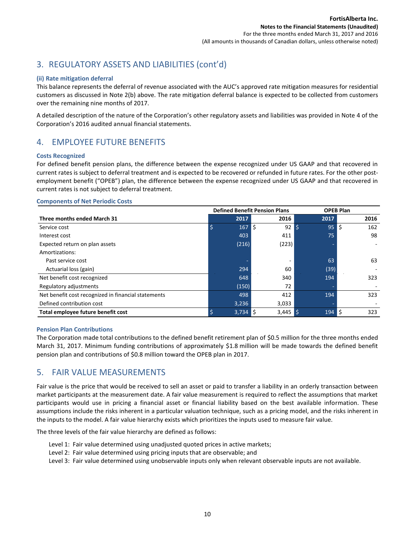## 3. REGULATORY ASSETS AND LIABILITIES (cont'd)

#### **(ii) Rate mitigation deferral**

This balance represents the deferral of revenue associated with the AUC's approved rate mitigation measures for residential customers as discussed in Note 2(b) above. The rate mitigation deferral balance is expected to be collected from customers over the remaining nine months of 2017.

A detailed description of the nature of the Corporation's other regulatory assets and liabilities was provided in Note 4 of the Corporation's 2016 audited annual financial statements.

## 4. EMPLOYEE FUTURE BENEFITS

#### **Costs Recognized**

For defined benefit pension plans, the difference between the expense recognized under US GAAP and that recovered in current rates is subject to deferral treatment and is expected to be recovered or refunded in future rates. For the other postemployment benefit ("OPEB") plan, the difference between the expense recognized under US GAAP and that recovered in current rates is not subject to deferral treatment.

#### **Components of Net Periodic Costs**

|                                                     |                      | <b>Defined Benefit Pension Plans</b> |                           | <b>OPEB Plan</b> |
|-----------------------------------------------------|----------------------|--------------------------------------|---------------------------|------------------|
| Three months ended March 31                         | 2017                 | 2016                                 | 2017                      | 2016             |
| Service cost                                        | Ś<br>167             | l\$<br>$92 \mid 5$                   | 95                        | \$<br>162        |
| Interest cost                                       | 403                  | 411                                  | 75                        | 98               |
| Expected return on plan assets                      | (216)                | (223)                                |                           |                  |
| Amortizations:                                      |                      |                                      |                           |                  |
| Past service cost                                   |                      |                                      | 63                        | 63               |
| Actuarial loss (gain)                               | 294                  | 60                                   | (39)                      |                  |
| Net benefit cost recognized                         | 648                  | 340                                  | 194                       | 323              |
| Regulatory adjustments                              | (150)                | 72                                   |                           |                  |
| Net benefit cost recognized in financial statements | 498                  | 412                                  | 194                       | 323              |
| Defined contribution cost                           | 3,236                | 3,033                                |                           |                  |
| Total employee future benefit cost                  | $3,73\overline{4}$ S | $3,445$ \$                           | $194 \overline{\text{S}}$ | 323              |

#### **Pension Plan Contributions**

The Corporation made total contributions to the defined benefit retirement plan of \$0.5 million for the three months ended March 31, 2017. Minimum funding contributions of approximately \$1.8 million will be made towards the defined benefit pension plan and contributions of \$0.8 million toward the OPEB plan in 2017.

## 5. FAIR VALUE MEASUREMENTS

Fair value is the price that would be received to sell an asset or paid to transfer a liability in an orderly transaction between market participants at the measurement date. A fair value measurement is required to reflect the assumptions that market participants would use in pricing a financial asset or financial liability based on the best available information. These assumptions include the risks inherent in a particular valuation technique, such as a pricing model, and the risks inherent in the inputs to the model. A fair value hierarchy exists which prioritizes the inputs used to measure fair value.

The three levels of the fair value hierarchy are defined as follows:

- Level 1: Fair value determined using unadjusted quoted prices in active markets;
- Level 2: Fair value determined using pricing inputs that are observable; and
- Level 3: Fair value determined using unobservable inputs only when relevant observable inputs are not available.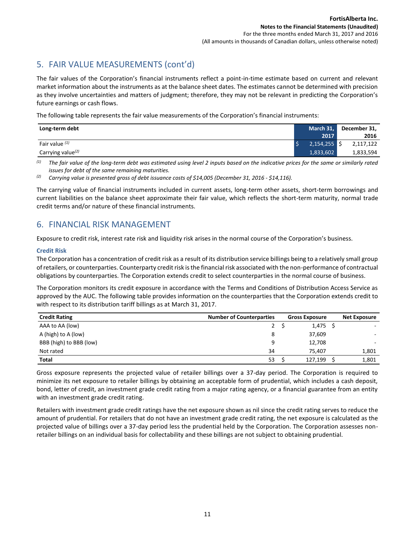## 5. FAIR VALUE MEASUREMENTS (cont'd)

The fair values of the Corporation's financial instruments reflect a point-in-time estimate based on current and relevant market information about the instruments as at the balance sheet dates. The estimates cannot be determined with precision as they involve uncertainties and matters of judgment; therefore, they may not be relevant in predicting the Corporation's future earnings or cash flows.

The following table represents the fair value measurements of the Corporation's financial instruments:

| Long-term debt                | March 31,      | December 31, |
|-------------------------------|----------------|--------------|
|                               | 2017           | 2016         |
| Fair value $(1)$              | $2,154,255$ \$ | 2,117,122    |
| Carrying value <sup>(2)</sup> | 1,833,602      | 1,833,594    |

*(1) The fair value of the long-term debt was estimated using level 2 inputs based on the indicative prices for the same or similarly rated issues for debt of the same remaining maturities.*

*(2) Carrying value is presented gross of debt issuance costs of \$14,005 (December 31, 2016 - \$14,116).*

The carrying value of financial instruments included in current assets, long-term other assets, short-term borrowings and current liabilities on the balance sheet approximate their fair value, which reflects the short-term maturity, normal trade credit terms and/or nature of these financial instruments.

## 6. FINANCIAL RISK MANAGEMENT

Exposure to credit risk, interest rate risk and liquidity risk arises in the normal course of the Corporation's business.

#### **Credit Risk**

The Corporation has a concentration of credit risk as a result of its distribution service billings being to a relatively small group of retailers, or counterparties. Counterparty credit risk is the financial risk associated with the non-performance of contractual obligations by counterparties. The Corporation extends credit to select counterparties in the normal course of business.

The Corporation monitors its credit exposure in accordance with the Terms and Conditions of Distribution Access Service as approved by the AUC. The following table provides information on the counterparties that the Corporation extends credit to with respect to its distribution tariff billings as at March 31, 2017.

| <b>Credit Rating</b>    | <b>Number of Counterparties</b><br><b>Gross Exposure</b> |  | <b>Net Exposure</b> |       |
|-------------------------|----------------------------------------------------------|--|---------------------|-------|
| AAA to AA (low)         | $2^{\circ}$                                              |  | $1,475$ \$          |       |
| A (high) to A (low)     | 8                                                        |  | 37,609              |       |
| BBB (high) to BBB (low) | 9                                                        |  | 12,708              |       |
| Not rated               | 34                                                       |  | 75.407              | 1,801 |
| <b>Total</b>            | 53                                                       |  | 127.199             | 1,801 |

Gross exposure represents the projected value of retailer billings over a 37-day period. The Corporation is required to minimize its net exposure to retailer billings by obtaining an acceptable form of prudential, which includes a cash deposit, bond, letter of credit, an investment grade credit rating from a major rating agency, or a financial guarantee from an entity with an investment grade credit rating.

Retailers with investment grade credit ratings have the net exposure shown as nil since the credit rating serves to reduce the amount of prudential. For retailers that do not have an investment grade credit rating, the net exposure is calculated as the projected value of billings over a 37-day period less the prudential held by the Corporation. The Corporation assesses nonretailer billings on an individual basis for collectability and these billings are not subject to obtaining prudential.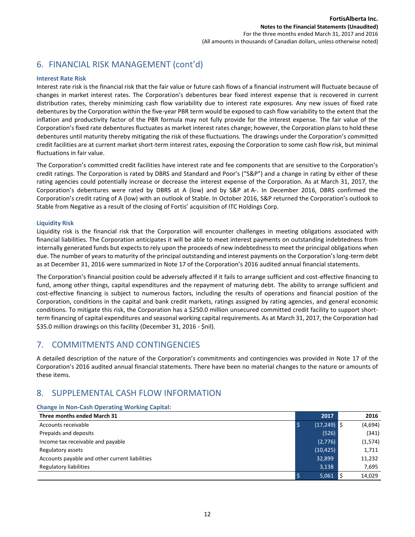## 6. FINANCIAL RISK MANAGEMENT (cont'd)

#### **Interest Rate Risk**

Interest rate risk is the financial risk that the fair value or future cash flows of a financial instrument will fluctuate because of changes in market interest rates. The Corporation's debentures bear fixed interest expense that is recovered in current distribution rates, thereby minimizing cash flow variability due to interest rate exposures. Any new issues of fixed rate debentures by the Corporation within the five-year PBR term would be exposed to cash flow variability to the extent that the inflation and productivity factor of the PBR formula may not fully provide for the interest expense. The fair value of the Corporation's fixed rate debentures fluctuates as market interest rates change; however, the Corporation plans to hold these debentures until maturity thereby mitigating the risk of these fluctuations. The drawings under the Corporation's committed credit facilities are at current market short-term interest rates, exposing the Corporation to some cash flow risk, but minimal fluctuations in fair value.

The Corporation's committed credit facilities have interest rate and fee components that are sensitive to the Corporation's credit ratings. The Corporation is rated by DBRS and Standard and Poor's ("S&P") and a change in rating by either of these rating agencies could potentially increase or decrease the interest expense of the Corporation. As at March 31, 2017, the Corporation's debentures were rated by DBRS at A (low) and by S&P at A-. In December 2016, DBRS confirmed the Corporation's credit rating of A (low) with an outlook of Stable. In October 2016, S&P returned the Corporation's outlook to Stable from Negative as a result of the closing of Fortis' acquisition of ITC Holdings Corp.

#### **Liquidity Risk**

Liquidity risk is the financial risk that the Corporation will encounter challenges in meeting obligations associated with financial liabilities. The Corporation anticipates it will be able to meet interest payments on outstanding indebtedness from internally generated funds but expects to rely upon the proceeds of new indebtedness to meet the principal obligations when due. The number of years to maturity of the principal outstanding and interest payments on the Corporation's long-term debt as at December 31, 2016 were summarized in Note 17 of the Corporation's 2016 audited annual financial statements.

The Corporation's financial position could be adversely affected if it fails to arrange sufficient and cost-effective financing to fund, among other things, capital expenditures and the repayment of maturing debt. The ability to arrange sufficient and cost-effective financing is subject to numerous factors, including the results of operations and financial position of the Corporation, conditions in the capital and bank credit markets, ratings assigned by rating agencies, and general economic conditions. To mitigate this risk, the Corporation has a \$250.0 million unsecured committed credit facility to support shortterm financing of capital expenditures and seasonal working capital requirements. As at March 31, 2017, the Corporation had \$35.0 million drawings on this facility (December 31, 2016 - \$nil).

## 7. COMMITMENTS AND CONTINGENCIES

A detailed description of the nature of the Corporation's commitments and contingencies was provided in Note 17 of the Corporation's 2016 audited annual financial statements. There have been no material changes to the nature or amounts of these items.

## 8. SUPPLEMENTAL CASH FLOW INFORMATION

#### **Change in Non-Cash Operating Working Capital:**

| Three months ended March 31                    | 2017          | 2016     |
|------------------------------------------------|---------------|----------|
| Accounts receivable                            | $(17,249)$ \$ | (4,694)  |
| Prepaids and deposits                          | (526)         | (341)    |
| Income tax receivable and payable              | (2,776)       | (1, 574) |
| Regulatory assets                              | (10, 425)     | 1,711    |
| Accounts payable and other current liabilities | 32,899        | 11,232   |
| <b>Regulatory liabilities</b>                  | 3,138         | 7,695    |
|                                                | 5,061         | 14,029   |